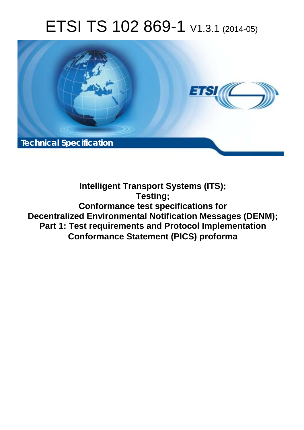# ETSI TS 102 869-1 V1.3.1 (2014-05)



**Intelligent Transport Systems (ITS); Testing; Conformance test specifications for Decentralized Environmental Notification Messages (DENM); Part 1: Test requirements and Protocol Implementation Conformance Statement (PICS) proforma**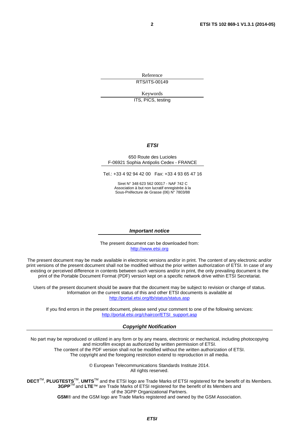Reference RTS/ITS-00149

Keywords

ITS, PICS, testing

### *ETSI*

#### 650 Route des Lucioles F-06921 Sophia Antipolis Cedex - FRANCE

Tel.: +33 4 92 94 42 00 Fax: +33 4 93 65 47 16

Siret N° 348 623 562 00017 - NAF 742 C Association à but non lucratif enregistrée à la Sous-Préfecture de Grasse (06) N° 7803/88

#### *Important notice*

The present document can be downloaded from: [http://www.etsi.org](http://www.etsi.org/)

The present document may be made available in electronic versions and/or in print. The content of any electronic and/or print versions of the present document shall not be modified without the prior written authorization of ETSI. In case of any existing or perceived difference in contents between such versions and/or in print, the only prevailing document is the print of the Portable Document Format (PDF) version kept on a specific network drive within ETSI Secretariat.

Users of the present document should be aware that the document may be subject to revision or change of status. Information on the current status of this and other ETSI documents is available at <http://portal.etsi.org/tb/status/status.asp>

If you find errors in the present document, please send your comment to one of the following services: [http://portal.etsi.org/chaircor/ETSI\\_support.asp](http://portal.etsi.org/chaircor/ETSI_support.asp)

### *Copyright Notification*

No part may be reproduced or utilized in any form or by any means, electronic or mechanical, including photocopying and microfilm except as authorized by written permission of ETSI.

The content of the PDF version shall not be modified without the written authorization of ETSI. The copyright and the foregoing restriction extend to reproduction in all media.

> © European Telecommunications Standards Institute 2014. All rights reserved.

**DECT**TM, **PLUGTESTS**TM, **UMTS**TM and the ETSI logo are Trade Marks of ETSI registered for the benefit of its Members. **3GPP**TM and **LTE**™ are Trade Marks of ETSI registered for the benefit of its Members and of the 3GPP Organizational Partners.

**GSM**® and the GSM logo are Trade Marks registered and owned by the GSM Association.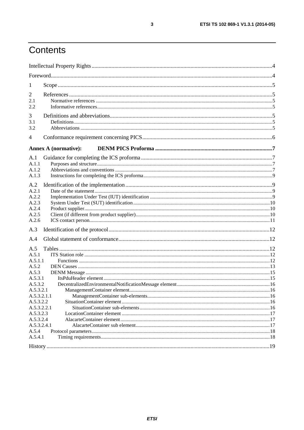## Contents

| 1                                                                                                                                                                    |  |
|----------------------------------------------------------------------------------------------------------------------------------------------------------------------|--|
| 2<br>2.1<br>2.2                                                                                                                                                      |  |
| 3<br>3.1<br>3.2                                                                                                                                                      |  |
| 4                                                                                                                                                                    |  |
| <b>Annex A (normative):</b>                                                                                                                                          |  |
| A.1<br>A.1.1<br>A.1.2<br>A.1.3<br>A.2<br>A.2.1<br>A.2.2<br>A.2.3<br>A.2.4<br>A.2.5<br>A.2.6<br>A.3<br>A.4<br>A.5<br>A.5.1                                            |  |
| A.5.1.1<br>A.5.2<br>A.5.3<br>A.5.3.1<br>A.5.3.2<br>A.5.3.2.1<br>A.5.3.2.1.1<br>A.5.3.2.2<br>A.5.3.2.2.1<br>A.5.3.2.3<br>A.5.3.2.4<br>A.5.3.2.4.1<br>A.5.4<br>A.5.4.1 |  |
|                                                                                                                                                                      |  |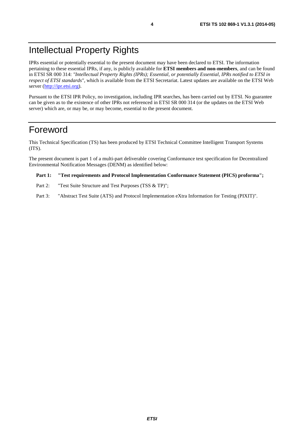## <span id="page-3-0"></span>Intellectual Property Rights

IPRs essential or potentially essential to the present document may have been declared to ETSI. The information pertaining to these essential IPRs, if any, is publicly available for **ETSI members and non-members**, and can be found in ETSI SR 000 314: *"Intellectual Property Rights (IPRs); Essential, or potentially Essential, IPRs notified to ETSI in respect of ETSI standards"*, which is available from the ETSI Secretariat. Latest updates are available on the ETSI Web server ([http://ipr.etsi.org\)](http://webapp.etsi.org/IPR/home.asp).

Pursuant to the ETSI IPR Policy, no investigation, including IPR searches, has been carried out by ETSI. No guarantee can be given as to the existence of other IPRs not referenced in ETSI SR 000 314 (or the updates on the ETSI Web server) which are, or may be, or may become, essential to the present document.

### Foreword

This Technical Specification (TS) has been produced by ETSI Technical Committee Intelligent Transport Systems (ITS).

The present document is part 1 of a multi-part deliverable covering Conformance test specification for Decentralized Environmental Notification Messages (DENM) as identified below:

#### **Part 1: "Test requirements and Protocol Implementation Conformance Statement (PICS) proforma";**

- Part 2: "Test Suite Structure and Test Purposes (TSS & TP)";
- Part 3: "Abstract Test Suite (ATS) and Protocol Implementation eXtra Information for Testing (PIXIT)".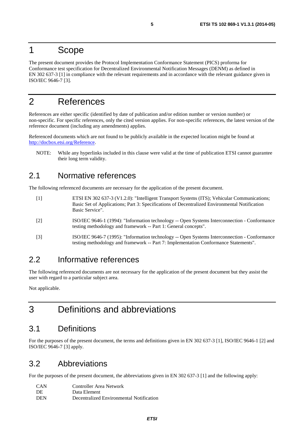### <span id="page-4-0"></span>1 Scope

The present document provides the Protocol Implementation Conformance Statement (PICS) proforma for Conformance test specification for Decentralized Environmental Notification Messages (DENM) as defined in EN 302 637-3 [1] in compliance with the relevant requirements and in accordance with the relevant guidance given in ISO/IEC 9646-7 [3].

## 2 References

References are either specific (identified by date of publication and/or edition number or version number) or non-specific. For specific references, only the cited version applies. For non-specific references, the latest version of the reference document (including any amendments) applies.

Referenced documents which are not found to be publicly available in the expected location might be found at [http://docbox.etsi.org/Reference.](http://docbox.etsi.org/Reference)

NOTE: While any hyperlinks included in this clause were valid at the time of publication ETSI cannot guarantee their long term validity.

### 2.1 Normative references

The following referenced documents are necessary for the application of the present document.

- [1] ETSI EN 302 637-3 (V1.2.0): "Intelligent Transport Systems (ITS); Vehicular Communications; Basic Set of Applications; Part 3: Specifications of Decentralized Environmental Notification Basic Service".
- [2] ISO/IEC 9646-1 (1994): "Information technology -- Open Systems Interconnection Conformance testing methodology and framework -- Part 1: General concepts".
- [3] ISO/IEC 9646-7 (1995): "Information technology -- Open Systems Interconnection Conformance testing methodology and framework -- Part 7: Implementation Conformance Statements".

### 2.2 Informative references

The following referenced documents are not necessary for the application of the present document but they assist the user with regard to a particular subject area.

Not applicable.

## 3 Definitions and abbreviations

### 3.1 Definitions

For the purposes of the present document, the terms and definitions given in EN 302 637-3 [1], ISO/IEC 9646-1 [2] and ISO/IEC 9646-7 [3] apply.

### 3.2 Abbreviations

For the purposes of the present document, the abbreviations given in EN 302 637-3 [1] and the following apply:

| <b>CAN</b> | Controller Area Network                  |
|------------|------------------------------------------|
| DE.        | Data Element                             |
| <b>DEN</b> | Decentralized Environmental Notification |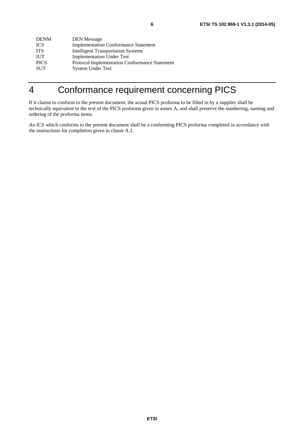<span id="page-5-0"></span>

| <b>DENM</b> | <b>DEN</b> Message                                   |
|-------------|------------------------------------------------------|
| <b>ICS</b>  | <b>Implementation Conformance Statement</b>          |
| <b>ITS</b>  | <b>Intelligent Transportation Systems</b>            |
| <b>IUT</b>  | <b>Implementation Under Test</b>                     |
| <b>PICS</b> | <b>Protocol Implementation Conformance Statement</b> |
| <b>SUT</b>  | <b>System Under Test</b>                             |

## 4 Conformance requirement concerning PICS

If it claims to conform to the present document, the actual PICS proforma to be filled in by a supplier shall be technically equivalent to the text of the PICS proforma given in annex A, and shall preserve the numbering, naming and ordering of the proforma items.

An ICS which conforms to the present document shall be a conforming PICS proforma completed in accordance with the instructions for completion given in clause A.1.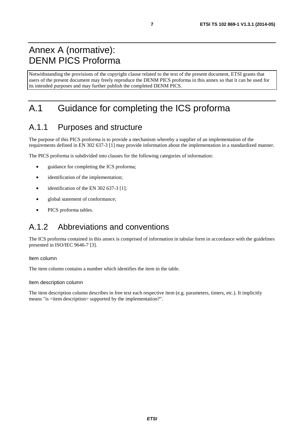## <span id="page-6-0"></span>Annex A (normative): DENM PICS Proforma

Notwithstanding the provisions of the copyright clause related to the text of the present document, ETSI grants that users of the present document may freely reproduce the DENM PICS proforma in this annex so that it can be used for its intended purposes and may further publish the completed DENM PICS.

## A.1 Guidance for completing the ICS proforma

## A.1.1 Purposes and structure

The purpose of this PICS proforma is to provide a mechanism whereby a supplier of an implementation of the requirements defined in EN 302 637-3 [\[1](#page-4-0)] may provide information about the implementation in a standardized manner.

The PICS proforma is subdivided into clauses for the following categories of information:

- guidance for completing the ICS proforma;
- identification of the implementation;
- $\bullet$  identification of the EN 302 637-3 [\[1](#page-4-0)];
- global statement of conformance;
- PICS proforma tables.

## A.1.2 Abbreviations and conventions

The ICS proforma contained in this annex is comprised of information in tabular form in accordance with the guidelines presented in ISO/IEC 9646-7 [\[3](#page-4-0)].

#### Item column

The item column contains a number which identifies the item in the table.

#### Item description column

The item description column describes in free text each respective item (e.g. parameters, timers, etc.). It implicitly means "is <item description> supported by the implementation?".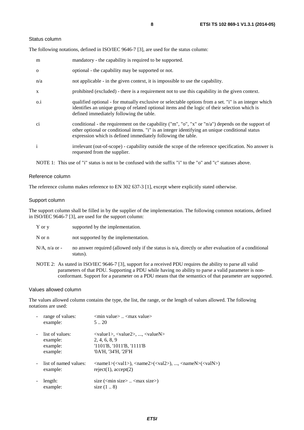#### Status column

The following notations, defined in ISO/IEC 9646-7 [\[3](#page-4-0)], are used for the status column:

| m            | mandatory - the capability is required to be supported.                                                                                                                                                                                                               |
|--------------|-----------------------------------------------------------------------------------------------------------------------------------------------------------------------------------------------------------------------------------------------------------------------|
| $\mathbf{O}$ | optional - the capability may be supported or not.                                                                                                                                                                                                                    |
| n/a          | not applicable - in the given context, it is impossible to use the capability.                                                                                                                                                                                        |
| $\mathbf{X}$ | prohibited (excluded) - there is a requirement not to use this capability in the given context.                                                                                                                                                                       |
| $0.\dot{1}$  | qualified optional - for mutually exclusive or selectable options from a set. "i" is an integer which<br>identifies an unique group of related optional items and the logic of their selection which is<br>defined immediately following the table.                   |
| ci           | conditional - the requirement on the capability ("m", "o", "x" or "n/a") depends on the support of<br>other optional or conditional items. "i" is an integer identifying an unique conditional status<br>expression which is defined immediately following the table. |
| $\mathbf{i}$ | irrelevant (out-of-scope) - capability outside the scope of the reference specification. No answer is<br>requested from the supplier.                                                                                                                                 |

NOTE 1: This use of "i" status is not to be confused with the suffix "i" to the "o" and "c" statuses above.

### Reference column

The reference column makes reference to EN 302 637-3 [\[1](#page-4-0)], except where explicitly stated otherwise.

#### Support column

The support column shall be filled in by the supplier of the implementation. The following common notations, defined in ISO/IEC 9646-7 [\[3](#page-4-0)], are used for the support column:

| Y or y           | supported by the implementation.                                                                                    |
|------------------|---------------------------------------------------------------------------------------------------------------------|
| N or n           | not supported by the implementation.                                                                                |
| $N/A$ , n/a or - | no answer required (allowed only if the status is $n/a$ , directly or after evaluation of a conditional<br>status). |

NOTE 2: As stated in ISO/IEC 9646-7 [\[3](#page-4-0)], support for a received PDU requires the ability to parse all valid parameters of that PDU. Supporting a PDU while having no ability to parse a valid parameter is nonconformant. Support for a parameter on a PDU means that the semantics of that parameter are supported.

### Values allowed column

The values allowed column contains the type, the list, the range, or the length of values allowed. The following notations are used:

| range of values:<br>example:                        | $\leq$ min value $>$ $\leq$ max value $>$<br>520                                                                                                                                                            |
|-----------------------------------------------------|-------------------------------------------------------------------------------------------------------------------------------------------------------------------------------------------------------------|
| list of values:<br>example:<br>example:<br>example: | $\langle \text{value1}\rangle$ , $\langle \text{value2}\rangle$ , , $\langle \text{valueN}\rangle$<br>2, 4, 6, 8, 9<br>$'1101'B$ , $'1011'B$ , $'1111'B$<br>'0A'H, '34'H, '2F'H                             |
| list of named values:<br>example:                   | $\langle \text{name1}\rangle(\langle \text{val1}\rangle)$ , $\langle \text{name2}\rangle(\langle \text{val2}\rangle)$ , , $\langle \text{nameN}\rangle(\langle \text{valN}\rangle)$<br>reject(1), accept(2) |
| length:<br>example:                                 | size $(\text{min size} > \dots < \text{max size})$<br>size $(18)$                                                                                                                                           |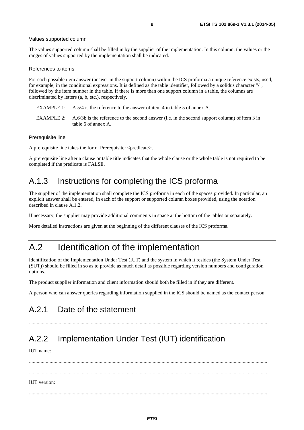#### <span id="page-8-0"></span>Values supported column

The values supported column shall be filled in by the supplier of the implementation. In this column, the values or the ranges of values supported by the implementation shall be indicated.

#### References to items

For each possible item answer (answer in the support column) within the ICS proforma a unique reference exists, used, for example, in the conditional expressions. It is defined as the table identifier, followed by a solidus character "/", followed by the item number in the table. If there is more than one support column in a table, the columns are discriminated by letters (a, b, etc.), respectively.

- EXAMPLE 1: A.5/4 is the reference to the answer of item 4 in table 5 of annex A.
- EXAMPLE 2: A.6/3b is the reference to the second answer (i.e. in the second support column) of item 3 in table 6 of annex A.

#### Prerequisite line

A prerequisite line takes the form: Prerequisite: <predicate>.

A prerequisite line after a clause or table title indicates that the whole clause or the whole table is not required to be completed if the predicate is FALSE.

### A.1.3 Instructions for completing the ICS proforma

The supplier of the implementation shall complete the ICS proforma in each of the spaces provided. In particular, an explicit answer shall be entered, in each of the support or supported column boxes provided, using the notation described in clause A.1.2.

If necessary, the supplier may provide additional comments in space at the bottom of the tables or separately.

More detailed instructions are given at the beginning of the different clauses of the ICS proforma.

## A.2 Identification of the implementation

Identification of the Implementation Under Test (IUT) and the system in which it resides (the System Under Test (SUT)) should be filled in so as to provide as much detail as possible regarding version numbers and configuration options.

The product supplier information and client information should both be filled in if they are different.

A person who can answer queries regarding information supplied in the ICS should be named as the contact person.

### A.2.1 Date of the statement

.........................................................................................................................................................................................

## A.2.2 Implementation Under Test (IUT) identification

IUT name:

 ......................................................................................................................................................................................... ......................................................................................................................................................................................... IUT version: .........................................................................................................................................................................................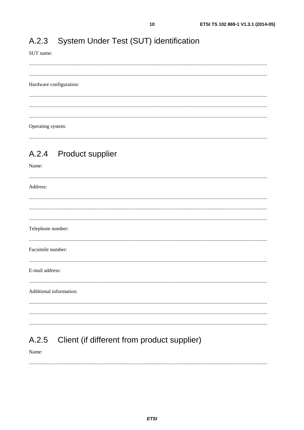#### <span id="page-9-0"></span>System Under Test (SUT) identification  $A.2.3$

SUT name:

Hardware configuration:

Operating system:

#### **Product supplier**  $A.2.4$

Name: Address: Telephone number: Facsimile number: E-mail address: Additional information: 

#### Client (if different from product supplier)  $A.2.5$

Name: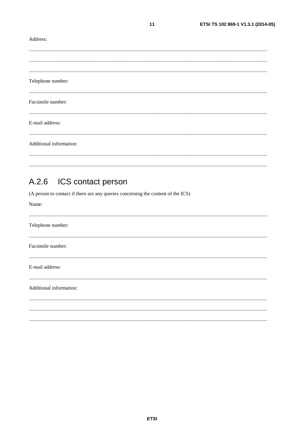### <span id="page-10-0"></span>Address:

| Telephone number:       |
|-------------------------|
|                         |
| Facsimile number:       |
|                         |
| E-mail address:         |
|                         |
| Additional information: |
|                         |
|                         |
|                         |

 $11$ 

#### ICS contact person  $A.2.6$

(A person to contact if there are any queries concerning the content of the ICS)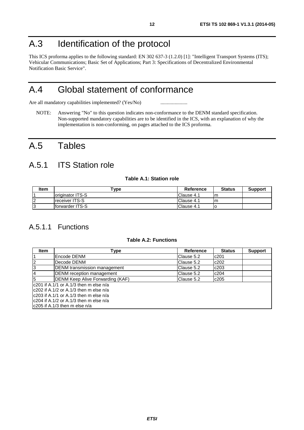## <span id="page-11-0"></span>A.3 Identification of the protocol

This ICS proforma applies to the following standard: EN 302 637-3 (1.2.0) [\[1](#page-4-0)]: "Intelligent Transport Systems (ITS); Vehicular Communications; Basic Set of Applications; Part 3: Specifications of Decentralized Environmental Notification Basic Service".

## A.4 Global statement of conformance

Are all mandatory capabilities implemented? (Yes/No) ............................

NOTE: Answering "No" to this question indicates non-conformance to the DENM standard specification. Non-supported mandatory capabilities are to be identified in the ICS, with an explanation of why the implementation is non-conforming, on pages attached to the ICS proforma.

## A.5 Tables

## A.5.1 ITS Station role

### **Table A.1: Station role**

| Item     | "vpe                    | Reference   | <b>Status</b> | <b>Support</b> |
|----------|-------------------------|-------------|---------------|----------------|
|          | loriginator ITS-S       | IClause 4.1 | m             |                |
| 12       | <b>Ireceiver ITS-S</b>  | IClause 4.1 | Im            |                |
| ר ו<br>◡ | <b>Iforwarder ITS-S</b> | Clause 4.1  |               |                |

### A.5.1.1 Functions

#### **Table A.2: Functions**

| Item                             | Type                                      | <b>Reference</b> | <b>Status</b> | <b>Support</b> |  |  |  |
|----------------------------------|-------------------------------------------|------------------|---------------|----------------|--|--|--|
|                                  | Encode DENM                               | Clause 5.2       | c201          |                |  |  |  |
| $\overline{2}$                   | Decode DENM                               | Clause 5.2       | c202          |                |  |  |  |
| 3                                | <b>DENM</b> transmission management       | Clause 5.2       | c203          |                |  |  |  |
| $\overline{4}$                   | <b>DENM</b> reception management          | Clause 5.2       | c204          |                |  |  |  |
| 5                                | DENM Keep Alive Forwarding (KAF)          | Clause 5.2       | c205          |                |  |  |  |
|                                  | $lc201$ if A.1/1 or A.1/3 then m else n/a |                  |               |                |  |  |  |
|                                  | $lc202$ if A.1/2 or A.1/3 then m else n/a |                  |               |                |  |  |  |
|                                  | $lc203$ if A.1/1 or A.1/3 then m else n/a |                  |               |                |  |  |  |
|                                  | $lc204$ if A.1/2 or A.1/3 then m else n/a |                  |               |                |  |  |  |
| $ c205$ if A.1/3 then m else n/a |                                           |                  |               |                |  |  |  |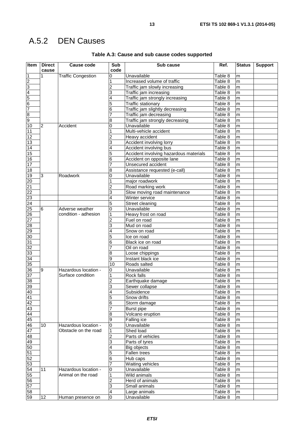## <span id="page-12-0"></span>A.5.2 DEN Causes

| Item                                                                                              | <b>Direct</b> | <b>Cause code</b>         | Sub                 | Sub cause                              | Ref.               | <b>Status</b> | <b>Support</b> |
|---------------------------------------------------------------------------------------------------|---------------|---------------------------|---------------------|----------------------------------------|--------------------|---------------|----------------|
|                                                                                                   | cause         |                           | code                |                                        |                    |               |                |
| $\overline{1}$                                                                                    |               | <b>Traffic Congestion</b> | 0                   | Unavailable                            | Table 8            | m             |                |
| $\frac{2}{3}$ $\frac{3}{4}$ $\frac{4}{5}$ $\frac{6}{6}$ $\frac{7}{7}$ $\frac{8}{8}$ $\frac{9}{9}$ |               |                           |                     | Increased volume of traffic            | Table 8            | m             |                |
|                                                                                                   |               |                           |                     | Traffic jam slowly increasing          | Table 8            | m             |                |
|                                                                                                   |               |                           | 3                   | Traffic jam increasing                 | Table 8            | m             |                |
|                                                                                                   |               |                           |                     | Traffic jam strongly increasing        | Table 8            | m             |                |
|                                                                                                   |               |                           | 5                   | Traffic stationary                     | Table 8            | m             |                |
|                                                                                                   |               |                           | 6                   | Traffic jam slightly decreasing        | Table 8            | m             |                |
|                                                                                                   |               |                           |                     | Traffic jam decreasing                 | Table 8            | m             |                |
|                                                                                                   |               |                           | 8                   | Traffic jam strongly decreasing        | Table 8            | m             |                |
| $\overline{10}$                                                                                   | $\mathbf{c}$  | Accident                  | 0                   | Unavailable                            | Table 8            | m             |                |
| 11                                                                                                |               |                           |                     | Multi-vehicle accident                 | Table 8            | m             |                |
| $\frac{12}{13}$                                                                                   |               |                           |                     | Heavy accident                         | Table 8            | m             |                |
|                                                                                                   |               |                           | 3                   | Accident involving lorry               | Table 8            | m             |                |
| 14                                                                                                |               |                           | 4                   | Accident involving bus                 | Table 8            | m             |                |
| 15                                                                                                |               |                           | 5                   | Accident involving hazardous materials | Table 8            | m             |                |
| 16                                                                                                |               |                           | 6                   | Accident on opposite lane              | Table 8            | m             |                |
| 17                                                                                                |               |                           |                     | Unsecured accident                     | Table 8            | m             |                |
| 18                                                                                                |               |                           | 8                   | Assistance requested (e-call)          | Table 8            | m             |                |
| 19                                                                                                | 3             | Roadwork                  | 0                   | Unavailable                            | Table 8            | m             |                |
|                                                                                                   |               |                           |                     | major roadwork                         | Table 8            | m             |                |
|                                                                                                   |               |                           |                     | Road marking work                      | Table 8            | m             |                |
|                                                                                                   |               |                           | 3                   | Slow moving road maintenance           | Table 8            | m             |                |
|                                                                                                   |               |                           | 4                   | Winter service                         | Table 8            | m             |                |
| 20<br>21<br>22<br>23<br>25<br>25<br>27<br>28                                                      |               |                           | 5                   | Street cleaning                        | Table 8            | m             |                |
|                                                                                                   | 6             | Adverse weather           | 0                   | Unavailable                            | Table 8            | m             |                |
|                                                                                                   |               | condition - adhesion      |                     | Heavy frost on road                    | Table 8            | m             |                |
|                                                                                                   |               |                           | 2                   | Fuel on road                           | Table 8            | m             |                |
|                                                                                                   |               |                           | 3                   | Mud on road                            | Table 8            | m             |                |
| $\frac{29}{30}$                                                                                   |               |                           |                     | Snow on road                           | Table 8            | m             |                |
|                                                                                                   |               |                           | 5                   | Ice on road                            | Table 8            | m             |                |
| 31                                                                                                |               |                           | 6                   | Black ice on road                      | Table 8            | m             |                |
| 32                                                                                                |               |                           |                     | Oil on road                            | Table 8            | m             |                |
| $\frac{33}{34}$                                                                                   |               |                           | 8                   | Loose chippings                        | Table 8            | m             |                |
|                                                                                                   |               |                           | 9                   | Instant black ice                      | Table 8            | m             |                |
|                                                                                                   |               |                           | 10                  | Roads salted                           | Table 8            | m             |                |
| 36                                                                                                | g             | Hazardous location -      | 0                   | Unavailable                            | Table 8            | m             |                |
| $\frac{37}{38}$                                                                                   |               | Surface condition         |                     | Rock falls                             | Table 8            | m             |                |
|                                                                                                   |               |                           |                     | Earthquake damage                      | Table 8            | m             |                |
| $\frac{39}{40}$                                                                                   |               |                           | 3                   | Sewer collapse                         | Table 8            | m             |                |
|                                                                                                   |               |                           |                     | Subsidence                             | Table 8            | ım            |                |
| 41                                                                                                |               |                           | 5                   | Snow drifts                            | Table 8            | m             |                |
| 42                                                                                                |               |                           | 6                   | Storm damage                           | Table 8            | m             |                |
| 43                                                                                                |               |                           |                     | Burst pipe                             | Table 8            | m             |                |
| 44                                                                                                |               |                           | 8                   | Volcano eruption                       | Table 8            | m             |                |
| 45                                                                                                |               |                           | 9                   | Falling ice                            | Table 8            | m             |                |
| 46                                                                                                | 10            | Hazardous location -      | 0                   | Unavailable                            | Table 8            | m             |                |
| 47                                                                                                |               | Obstacle on the road      |                     | Shed load                              | Table 8            | m             |                |
| 48                                                                                                |               |                           |                     | Parts of vehicles                      | Table 8            | m             |                |
| 49                                                                                                |               |                           | 3                   | Parts of tyres                         | Table 8            | m             |                |
| $\frac{50}{51}$                                                                                   |               |                           | 4                   | Big objects                            | Table 8            | m             |                |
|                                                                                                   |               |                           | 5                   | Fallen trees                           | Table 8            | m             |                |
| 52                                                                                                |               |                           | 6                   | Hub caps                               | Table 8            | m             |                |
| 53                                                                                                | 11            | Hazardous location -      |                     | Waiting vehicles<br>Unavailable        | Table 8            | m             |                |
| 54                                                                                                |               | Animal on the road        | 0                   | Wild animals                           | Table 8            | m             |                |
| 55<br>56                                                                                          |               |                           |                     |                                        | Table 8<br>Table 8 | m             |                |
| 57                                                                                                |               |                           | 2                   | Herd of animals                        | Table 8            | m             |                |
|                                                                                                   |               |                           | 3                   | Small animals                          |                    | m             |                |
| 58                                                                                                |               |                           | 4<br>$\overline{0}$ | Large animals                          | Table 8            | m             |                |
| 59                                                                                                | 12            | Human presence on         |                     | Unavailable                            | Table 8            | m             |                |

### **Table A.3: Cause and sub cause codes supported**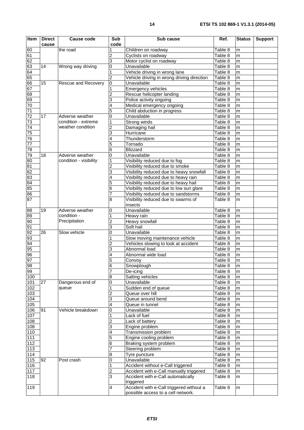| Item                               | <b>Direct</b>   | <b>Cause code</b>      | Sub    | Sub cause                                  | Ref.                        | <b>Status</b> | <b>Support</b> |
|------------------------------------|-----------------|------------------------|--------|--------------------------------------------|-----------------------------|---------------|----------------|
|                                    | cause           |                        | code   |                                            |                             |               |                |
| 60<br>61                           |                 | the road               |        | Children on roadway                        | Table 8<br>Table 8          | m<br>m        |                |
| 62                                 |                 |                        | 2      | Cyclists on roadway                        | Table 8                     |               |                |
|                                    | 14              | Wrong way driving      | 3<br>0 | Motor cyclist on roadway<br>Unavailable    | Table 8                     | m             |                |
| $\frac{63}{63}$<br>$\frac{64}{65}$ |                 |                        |        | Vehicle driving in wrong lane              | Table 8                     | m<br>m        |                |
|                                    |                 |                        | 2      | Vehicle driving in wrong driving direction | Table 8                     | m             |                |
| 66                                 | 15              | Rescue and Recovery    | 0      | Unavailable                                | Table 8                     | m             |                |
|                                    |                 |                        |        | Emergency vehicles                         | Table 8                     | m             |                |
| 67<br>68<br>69<br>70<br>71<br>72   |                 |                        |        | Rescue helicopter landing                  | Table 8                     | m             |                |
|                                    |                 |                        | 3      | Police activity ongoing                    | Table 8                     | m             |                |
|                                    |                 |                        |        | Medical emergency ongoing                  | Table 8                     | m             |                |
|                                    |                 |                        | 5      | Child abduction in progress                | Table 8                     | m             |                |
|                                    | 17              | Adverse weather        | 0      | Unavailable                                | Table 8                     | m             |                |
|                                    |                 | condition - extreme    |        | Strong winds                               | Table 8                     | m             |                |
|                                    |                 | weather condition      |        | Damaging hail                              | Table 8                     | m             |                |
| 73 74 75 76 77 78 79 80 81 82      |                 |                        | 3      | Hurricane                                  | Table 8                     | m             |                |
|                                    |                 |                        |        | Thunderstorm                               | Table 8                     | m             |                |
|                                    |                 |                        | 5      | Tornado                                    | Table 8                     | m             |                |
|                                    |                 |                        | 6      | <b>Blizzard</b>                            | Table 8                     | m             |                |
|                                    | 18              | Adverse weather        | 0      | Unavailable                                | Table 8                     | m             |                |
|                                    |                 | condition - visibility |        | Visibility reduced due to fog              | Table 8                     | m             |                |
|                                    |                 |                        |        | Visibility reduced due to smoke            | Table 8                     | m             |                |
|                                    |                 |                        | 3      | Visibility reduced due to heavy snowfall   | Table 8                     | m             |                |
|                                    |                 |                        |        | Visibility reduced due to heavy rain       | Table 8                     | m             |                |
| 80<br>80<br>80                     |                 |                        | 5      | Visibility reduced due to heavy hail       | Table 8                     | m             |                |
|                                    |                 |                        | 6      | Visibility reduced due to low sun glare    | Table 8                     | m             |                |
| 86                                 |                 |                        |        | Visibility reduced due to sandstorms       | Table 8                     | m             |                |
| 87                                 |                 |                        | 8      | Visibility reduced due to swarms of        | Table 8                     | m             |                |
|                                    |                 |                        |        | insects                                    |                             |               |                |
| 88                                 | 19              | Adverse weather        | 0      | Unavailable                                | Table 8                     | m             |                |
| 89                                 |                 | condition -            |        | Heavy rain                                 | Table 8                     | m             |                |
| 90                                 |                 | Precipitation          | 2      | Heavy snowfall                             | Table 8                     | m             |                |
| 91                                 |                 |                        | 3      | Soft hail                                  | Table 8                     | m             |                |
| $\overline{30}$                    | 26              | Slow vehicle           | 0      | Unavailable                                | Table 8                     | m             |                |
|                                    |                 |                        |        | Slow moving maintenance vehicle            | Table 8                     | m             |                |
| 93<br>94                           |                 |                        |        | Vehicles slowing to look at accident       | Table 8                     | m             |                |
| 95                                 |                 |                        |        | Abnormal load                              | Table 8                     | m             |                |
| 96                                 |                 |                        |        | Abnormal wide load                         | Table 8                     | m             |                |
|                                    |                 |                        | 5      | Convoy                                     | Table 8                     | m             |                |
| 97<br>98                           |                 |                        | 6      | Snowplough                                 | lable 8                     | m             |                |
| 99                                 |                 |                        |        | De-icing                                   | Table 8                     | m             |                |
| 100                                |                 |                        | 8      | Salting vehicles                           | Table 8                     | m             |                |
| 101                                | $\overline{27}$ | Dangerous end of       | 0      | Unavailable                                | Table 8                     | m             |                |
| 102                                |                 | queue                  |        | Sudden end of queue                        | Table 8                     | m             |                |
| 103                                |                 |                        | 2      | Queue over hill                            | Table 8                     | m             |                |
| 104                                |                 |                        | 3      | Queue around bend                          | Table 8                     | m             |                |
| 105                                |                 |                        | 4      | Queue in tunnel                            | Table 8                     | m             |                |
| 106                                | 91              | Vehicle breakdown      | 0      | Unavailable                                | Table 8                     | m             |                |
| 107                                |                 |                        |        | Lack of fuel                               | Table 8                     | m             |                |
| 108                                |                 |                        | 2      | Lack of battery                            | Table 8                     | m             |                |
| 108                                |                 |                        | 3      | Engine problem                             | Table 8                     | m             |                |
| 110                                |                 |                        |        | Transmission problem                       | Table 8                     | m             |                |
| 111                                |                 |                        | 5      | Engine cooling problem                     | Table 8                     | m             |                |
| 112                                |                 |                        | 6      | Braking system problem                     | $\overline{\text{Table 8}}$ | m             |                |
| 113                                |                 |                        |        | Steering problem                           | Table 8                     | m             |                |
| 114                                |                 |                        | 8      | Tyre puncture                              | Table 8                     | m             |                |
| 115                                | 92              | Post crash             | 0      | Unavailable                                | Table 8                     | m             |                |
| 116                                |                 |                        |        | Accident without e-Call triggered          | Table 8                     | m             |                |
| 117                                |                 |                        | 2      | Accident with e-Call manually triggered    | Table 8                     | m             |                |
| 118                                |                 |                        | 3      | Accident with e-Call automatically         | Table 8                     | m             |                |
|                                    |                 |                        |        | triggered                                  |                             |               |                |
| 119                                |                 |                        | 4      | Accident with e-Call triggered without a   | Table 8                     | m             |                |
|                                    |                 |                        |        | possible access to a cell network.         |                             |               |                |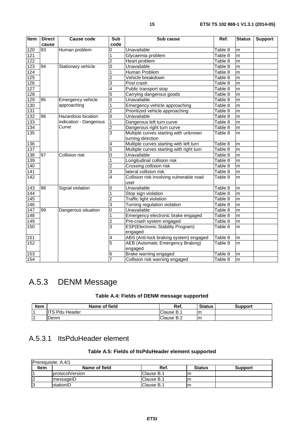<span id="page-14-0"></span>

| Item             | <b>Direct</b> | <b>Cause code</b>      | <b>Sub</b> | Sub cause                                | Ref.    | <b>Status</b> | <b>Support</b> |
|------------------|---------------|------------------------|------------|------------------------------------------|---------|---------------|----------------|
|                  | cause         |                        | code       |                                          |         |               |                |
| $\overline{120}$ | 93            | Human problem          | 0          | Unavailable                              | Table 8 | m             |                |
| 121              |               |                        |            | Glycaemia problem                        | Table 8 | m             |                |
| 122              |               |                        | 2          | Heart problem                            | Table 8 | m             |                |
| 123              | 94            | Stationary vehicle     | 0          | Unavailable                              | Table 8 | m             |                |
| 124              |               |                        |            | Human Problem                            | Table 8 | m             |                |
| 125              |               |                        | 2          | Vehicle breakdown                        | Table 8 | m             |                |
| 126              |               |                        | 3          | Post crash                               | Table 8 | m             |                |
| $\overline{127}$ |               |                        |            | Public transport stop                    | Table 8 | m             |                |
| 128              |               |                        | 5          | Carrying dangerous goods                 | Table 8 | m             |                |
| 129              | 95            | Emergency vehicle      | 0          | Unavailable                              | Table 8 | m             |                |
| 130              |               | approaching            |            | Emergency vehicle approaching            | Table 8 | m             |                |
| $\overline{131}$ |               |                        | 2          | Prioritized vehicle approaching          | Table 8 | m             |                |
| $132$            | 96            | Hazardous location     | 0          | Unavailable                              | Table 8 | m             |                |
| 133              |               | indication - Dangerous | 1          | Dangerous left turn curve                | Table 8 | m             |                |
| 134              |               | Curve                  | 2          | Dangerous right turn curve               | Table 8 | m             |                |
| 135              |               |                        | 3          | Multiple curves starting with unknown    | Table 8 | m             |                |
|                  |               |                        |            | turning direction                        |         |               |                |
| 136              |               |                        | 4          | Multiple curves starting with left turn  | Table 8 | m             |                |
| 137              |               |                        | 5          | Multiple curves starting with right turn | Table 8 | m             |                |
| 138              | 97            | <b>Collision risk</b>  | 0          | Unavailable                              | Table 8 | m             |                |
| 139              |               |                        |            | Longitudinal collision risk              | Table 8 | m             |                |
| 140              |               |                        | 2          | Crossing collision risk                  | Table 8 | m             |                |
| 141              |               |                        | 3          | lateral collision risk                   | Table 8 | m             |                |
| 142              |               |                        | 4          | Collision risk involving vulnerable road | Table 8 | m             |                |
|                  |               |                        |            | user                                     |         |               |                |
| $\overline{143}$ | 98            | Signal violation       | 0          | Unavailable                              | Table 8 | m             |                |
| 144              |               |                        |            | Stop sign violation                      | Table 8 | m             |                |
| 145              |               |                        | 2          | Traffic light violation                  | Table 8 | m             |                |
| 146              |               |                        | 3          | Turning regulation violation             | Table 8 | m             |                |
| 147              | 99            | Dangerous situation    | 0          | Unavailable                              | Table 8 | m             |                |
| 148              |               |                        |            | Emergency electronic brake engaged       | Table 8 | m             |                |
| 149              |               |                        | 2          | Pre-crash system engaged                 | Table 8 | m             |                |
| 150              |               |                        | 3          | <b>ESP(Electronic Stability Program)</b> | Table 8 | m             |                |
|                  |               |                        |            | engaged                                  |         |               |                |
| 151              |               |                        | 4          | ABS (Anti-lock braking system) engaged   | Table 8 | m             |                |
| 152              |               |                        | 5          | <b>AEB (Automatic Emergency Braking)</b> | Table 8 | m             |                |
|                  |               |                        |            | engaged                                  |         |               |                |
| 153              |               |                        | 6          | Brake warning engaged                    | Table 8 | m             |                |
| 154              |               |                        | 7          | Collision risk warning engaged           | Table 8 | m             |                |

## A.5.3 DENM Message

### **Table A.4: Fields of DENM message supported**

| <b>Item</b> | Name of field       | Ref.       | <b>Status</b> | Support |
|-------------|---------------------|------------|---------------|---------|
|             | ITS Pdu<br>⊦ Header | Clause B.1 | ım            |         |
| ∼           | Denm                | Clause B.2 | 1m            |         |

### A.5.3.1 ItsPduHeader element

### **Table A.5: Fields of ItsPduHeader element supported**

| <b>Prerequisite: A.4/1</b> |                         |             |               |                |
|----------------------------|-------------------------|-------------|---------------|----------------|
| <b>Item</b>                | Name of field           | Ref.        | <b>Status</b> | <b>Support</b> |
|                            | <b>IprotocolVersion</b> | IClause B.1 | m             |                |
| 2                          | ImessageID              | Clause B.1  |               |                |
| 13                         | IstationID              | lClause B.1 | m             |                |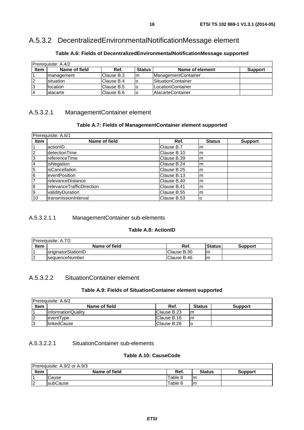### <span id="page-15-0"></span>A.5.3.2 DecentralizedEnvironmentalNotificationMessage element

| <b>Prerequisite: A.4/2</b> |                   |             |               |                            |                |
|----------------------------|-------------------|-------------|---------------|----------------------------|----------------|
| <b>Item</b>                | Name of field     | Ref.        | <b>Status</b> | Name of element            | <b>Support</b> |
|                            | Imanagement       | Clause B.3  | Im            | <b>ManagementContainer</b> |                |
|                            | <b>Isituation</b> | Clause B.4  | ١o            | <b>ISituationContainer</b> |                |
| 13                         | location          | lClause B.5 | ١o            | LocationContainer          |                |
| 14                         | lalacarte         | lClause B.6 | ١o            | <b>IAlacarteContainer</b>  |                |

### **Table A.6: Fields of DecentralizedEnvironmentalNotificationMessage supported**

### A.5.3.2.1 ManagementContainer element

### **Table A.7: Fields of ManagementContainer element supported**

|                | Prerequisite: A.6/1       |             |               |                |  |
|----------------|---------------------------|-------------|---------------|----------------|--|
| Item           | Name of field             | Ref.        | <b>Status</b> | <b>Support</b> |  |
|                | actionID                  | Clause B.7  | m             |                |  |
| $\overline{2}$ | detectionTime             | Clause B.10 | Im            |                |  |
| 3              | referenceTime             | Clause B.39 | lm            |                |  |
| $\overline{4}$ | <i>isNegation</i>         | Clause B.24 | Im            |                |  |
| 5              | <i>isCancellation</i>     | Clause B.25 | Im            |                |  |
| 6              | eventPosition             | Clause B.13 | Im            |                |  |
|                | relevanceDistance         | Clause B.40 | m             |                |  |
| 8              | relevanceTrafficDirection | Clause B.41 | Im            |                |  |
| 9              | validityDuration          | Clause B.55 | lm            |                |  |
| 10             | transmissionInterval      | Clause B.53 | O             |                |  |

### A.5.3.2.1.1 ManagementContainer sub-elements

### **Table A.8: ActionID**

|             | Prerequisite: A.7/2         |             |               |                |
|-------------|-----------------------------|-------------|---------------|----------------|
| <b>Item</b> | Name of field               | Ref.        | <b>Status</b> | <b>Support</b> |
|             | <b>IoriginatorStationID</b> | Clause B.30 | Im            |                |
| $\sim$      | <b>IsequenceNumber</b>      | Clause B.46 | Im            |                |

### A.5.3.2.2 SituationContainer element

### **Table A.9: Fields of SituationContainer element supported**

|      | Prerequisite: A.6/2        |             |               |                |
|------|----------------------------|-------------|---------------|----------------|
| Item | Name of field              | Ref.        | <b>Status</b> | <b>Support</b> |
|      | <b>linformationQuality</b> | Clause B.23 | Im            |                |
|      | leventType                 | Clause B.16 | Im            |                |
| 13   | <b>IlinkedCause</b>        | Clause B.28 | lo            |                |

### A.5.3.2.2.1 SituationContainer sub-elements

### **Table A.10: CauseCode**

|                | Prerequisite: A.9/2 or A.9/3 |         |               |                |
|----------------|------------------------------|---------|---------------|----------------|
| Item           | Name of field                | Ref.    | <b>Status</b> | <b>Support</b> |
|                | Cause                        | Table 8 | Im            |                |
| $\overline{2}$ | <b>IsubCause</b>             | Table 8 | Im            |                |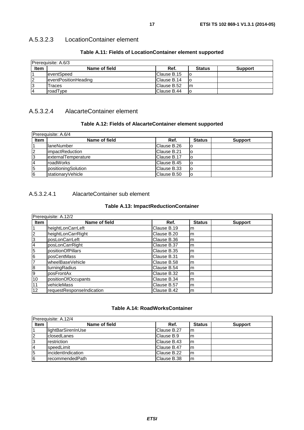### <span id="page-16-0"></span>A.5.3.2.3 LocationContainer element

|             | Prerequisite: A.6/3  |             |               |                |
|-------------|----------------------|-------------|---------------|----------------|
| <b>Item</b> | Name of field        | Ref.        | <b>Status</b> | <b>Support</b> |
|             | leventSpeed          | Clause B.15 |               |                |
| 12          | eventPositionHeading | Clause B.14 |               |                |
| 3           | Traces               | Clause B.52 | m             |                |
| 14          | roadType             | Clause B.44 |               |                |

### **Table A.11: Fields of LocationContainer element supported**

### A.5.3.2.4 AlacarteContainer element

### **Table A.12: Fields of AlacarteContainer element supported**

| Prerequisite: A.6/4 |                     |             |               |                |
|---------------------|---------------------|-------------|---------------|----------------|
| <b>Item</b>         | Name of field       | Ref.        | <b>Status</b> | <b>Support</b> |
|                     | <b>IlaneNumber</b>  | Clause B.26 | lo            |                |
|                     | limpactReduction    | Clause B.21 | lo            |                |
| 13                  | externalTemperature | Clause B.17 | O             |                |
|                     | <b>roadWorks</b>    | Clause B.45 | lo            |                |
| 5                   | positioningSolution | Clause B.33 | ۱o            |                |
| 6                   | IstationarvVehicle  | Clause B.50 | O             |                |

### A.5.3.2.4.1 AlacarteContainer sub element

### **Table A.13: ImpactReductionContainer**

|                | Prerequisite: A.12/2      |             |               |                |  |  |
|----------------|---------------------------|-------------|---------------|----------------|--|--|
| <b>Item</b>    | Name of field             | Ref.        | <b>Status</b> | <b>Support</b> |  |  |
|                | heightLonCarrLeft         | Clause B.19 | m             |                |  |  |
| $ 2\rangle$    | heightLonCarrRight        | Clause B.20 | m             |                |  |  |
| $\overline{3}$ | posLonCarrLeft            | Clause B.36 | m             |                |  |  |
| $\overline{A}$ | posLonCarrRight           | Clause B.37 | m             |                |  |  |
| $\overline{5}$ | positionOfPillars         | Clause B.35 | m             |                |  |  |
| 6              | posCentMass               | Clause B.31 | m             |                |  |  |
| 17             | wheelBaseVehicle          | Clause B.58 | lm            |                |  |  |
| 8              | turningRadius             | Clause B.54 | m             |                |  |  |
| l9             | posFrontAx                | Clause B.32 | m             |                |  |  |
| 10             | positionOfOccupants       | Clause B.34 | m             |                |  |  |
| 11             | vehicleMass               | Clause B.57 | m             |                |  |  |
| 12             | requestResponseIndication | Clause B.42 | m             |                |  |  |

### **Table A.14: RoadWorksContainer**

| Prerequisite: A.12/4 |                     |              |               |                |
|----------------------|---------------------|--------------|---------------|----------------|
| <b>Item</b>          | Name of field       | Ref.         | <b>Status</b> | <b>Support</b> |
|                      | lightBarSirenInUse  | Clause B.27  | m             |                |
| $\overline{2}$       | <b>closedLanes</b>  | Clause B.9   | m             |                |
| 13                   | restriction         | lClause B.43 | Im            |                |
| $\overline{4}$       | speedLimit          | Clause B.47  | Im            |                |
| $\overline{5}$       | lincidentIndication | Clause B.22  | m             |                |
| 6                    | IrecommendedPath    | lClause B.38 | Im            |                |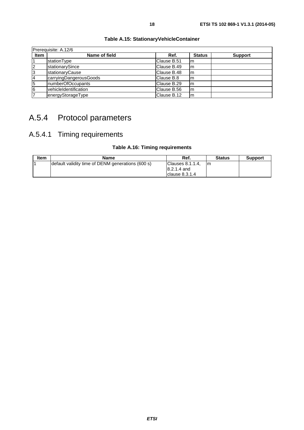<span id="page-17-0"></span>

| Prerequisite: A.12/6 |                        |              |               |                |  |  |
|----------------------|------------------------|--------------|---------------|----------------|--|--|
| <b>Item</b>          | Name of field          | Ref.         | <b>Status</b> | <b>Support</b> |  |  |
|                      | stationType            | Clause B.51  | m             |                |  |  |
| $\overline{c}$       | stationarySince        | Clause B.49  | lm            |                |  |  |
| 3                    | stationaryCause        | lClause B.48 | lm            |                |  |  |
| <b>4</b>             | carryingDangerousGoods | Clause B.8   | m             |                |  |  |
| 5                    | numberOfOccupants      | Clause B.29  | lm            |                |  |  |
| $\overline{6}$       | vehicleIdentification  | Clause B.56  | lm            |                |  |  |
| 17                   | energyStorageType      | lClause B.12 | Im            |                |  |  |

**Table A.15: StationaryVehicleContainer** 

## A.5.4 Protocol parameters

## A.5.4.1 Timing requirements

| <b>Item</b> | <b>Name</b>                                       | Ref.               | <b>Status</b> | <b>Support</b> |
|-------------|---------------------------------------------------|--------------------|---------------|----------------|
|             | default validity time of DENM generations (600 s) | IClauses 8.1.1.4.  | ım            |                |
|             |                                                   | 8.2.1.4 and        |               |                |
|             |                                                   | $l$ clause 8.3.1.4 |               |                |